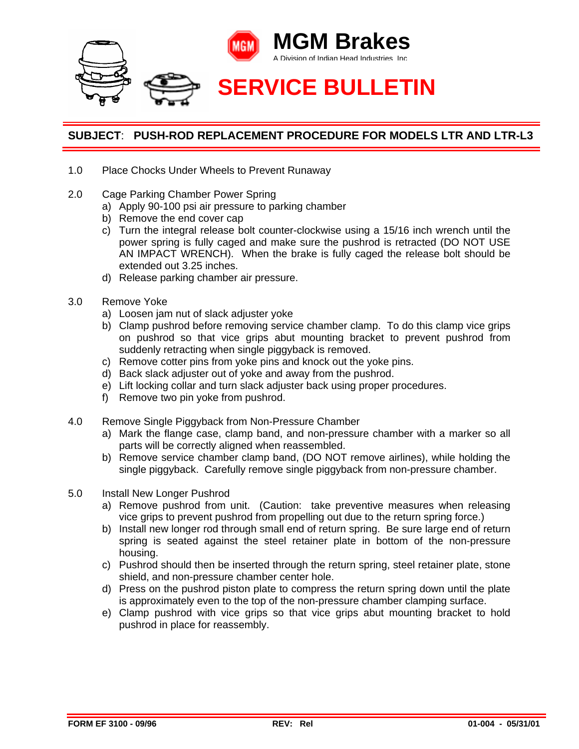

## **SUBJECT**: **PUSH-ROD REPLACEMENT PROCEDURE FOR MODELS LTR AND LTR-L3**

- 1.0 Place Chocks Under Wheels to Prevent Runaway
- 2.0 Cage Parking Chamber Power Spring
	- a) Apply 90-100 psi air pressure to parking chamber
	- b) Remove the end cover cap
	- c) Turn the integral release bolt counter-clockwise using a 15/16 inch wrench until the power spring is fully caged and make sure the pushrod is retracted (DO NOT USE AN IMPACT WRENCH). When the brake is fully caged the release bolt should be extended out 3.25 inches.
	- d) Release parking chamber air pressure.
- 3.0 Remove Yoke
	- a) Loosen jam nut of slack adjuster yoke
	- b) Clamp pushrod before removing service chamber clamp. To do this clamp vice grips on pushrod so that vice grips abut mounting bracket to prevent pushrod from suddenly retracting when single piggyback is removed.
	- c) Remove cotter pins from yoke pins and knock out the yoke pins.
	- d) Back slack adjuster out of yoke and away from the pushrod.
	- e) Lift locking collar and turn slack adjuster back using proper procedures.
	- f) Remove two pin yoke from pushrod.
- 4.0 Remove Single Piggyback from Non-Pressure Chamber
	- a) Mark the flange case, clamp band, and non-pressure chamber with a marker so all parts will be correctly aligned when reassembled.
	- b) Remove service chamber clamp band, (DO NOT remove airlines), while holding the single piggyback. Carefully remove single piggyback from non-pressure chamber.
- 5.0 Install New Longer Pushrod
	- a) Remove pushrod from unit. (Caution: take preventive measures when releasing vice grips to prevent pushrod from propelling out due to the return spring force.)
	- b) Install new longer rod through small end of return spring. Be sure large end of return spring is seated against the steel retainer plate in bottom of the non-pressure housing.
	- c) Pushrod should then be inserted through the return spring, steel retainer plate, stone shield, and non-pressure chamber center hole.
	- d) Press on the pushrod piston plate to compress the return spring down until the plate is approximately even to the top of the non-pressure chamber clamping surface.
	- e) Clamp pushrod with vice grips so that vice grips abut mounting bracket to hold pushrod in place for reassembly.